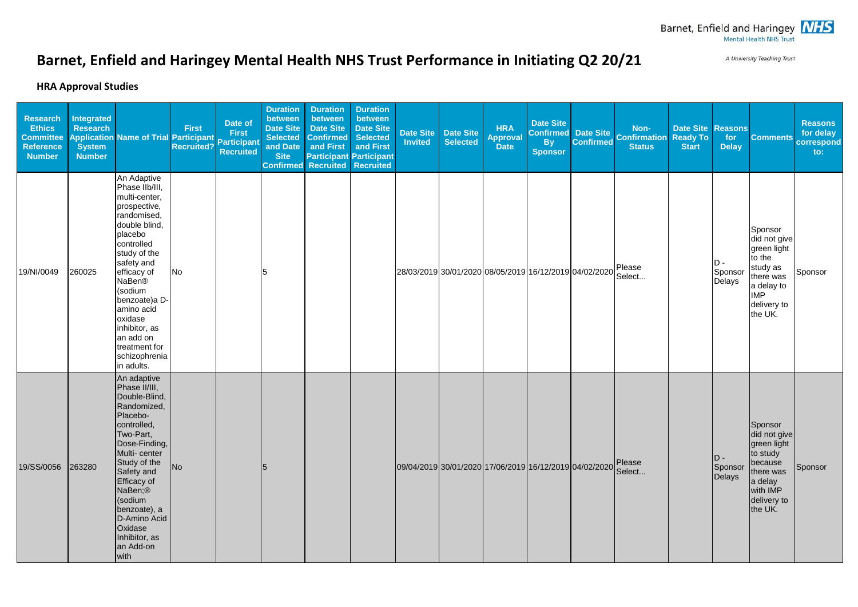A University Teaching Trust

## **Barnet, Enfield and Haringey Mental Health NHS Trust Performance in Initiating Q2 20/21**

## **HRA Approval Studies**

| Research<br><b>Ethics</b><br><b>Committee</b><br><b>Reference</b><br><b>Number</b> | <b>Integrated</b><br><b>Research</b><br><b>Application</b><br><b>System</b><br><b>Number</b> | <b>Name of Trial Participant</b>                                                                                                                                                                                                                                                                                         | <b>First</b><br><b>Recruited?</b> | Date of<br><b>First</b><br><b>Participant</b><br><b>Recruited</b> | <b>Duration</b><br>between<br>Date Site<br><b>Selected</b><br>and Date<br><b>Site</b><br><b>Confirmed</b> | <b>Duration</b><br>between<br><b>Date Site</b><br><b>Confirmed</b><br>and First<br><b>Recruited</b> | <b>Duration</b><br>between<br><b>Date Site</b><br><b>Selected</b><br>and First<br><b>Participant Participant</b><br><b>Recruited</b> | <b>Date Site</b><br>Invited | <b>Date Site</b><br><b>Selected</b> | <b>HRA</b><br><b>Approval</b><br><b>Date</b> | <b>Date Site</b><br><b>Confirmed</b><br><b>By</b><br><b>Sponsor</b> | <b>Date Site</b><br><b>Confirmed</b> | Non-<br><b>Confirmation</b><br><b>Status</b> | <b>Date Site</b><br><b>Ready To</b><br><b>Start</b> | <b>Reasons</b><br>for<br><b>Delay</b> | <b>Comments</b>                                                                                                                 | <b>Reasons</b><br>for delay<br>correspond<br>$\mathbf{to}$ : |
|------------------------------------------------------------------------------------|----------------------------------------------------------------------------------------------|--------------------------------------------------------------------------------------------------------------------------------------------------------------------------------------------------------------------------------------------------------------------------------------------------------------------------|-----------------------------------|-------------------------------------------------------------------|-----------------------------------------------------------------------------------------------------------|-----------------------------------------------------------------------------------------------------|--------------------------------------------------------------------------------------------------------------------------------------|-----------------------------|-------------------------------------|----------------------------------------------|---------------------------------------------------------------------|--------------------------------------|----------------------------------------------|-----------------------------------------------------|---------------------------------------|---------------------------------------------------------------------------------------------------------------------------------|--------------------------------------------------------------|
| 19/NI/0049                                                                         | 260025                                                                                       | An Adaptive<br>Phase IIb/III,<br>multi-center,<br>prospective,<br>randomised,<br>double blind,<br>placebo<br>controlled<br>study of the<br>safety and<br>efficacy of<br><b>NaBen®</b><br>(sodium<br>benzoate)a D-<br>amino acid<br>oxidase<br>inhibitor, as<br>an add on<br>treatment for<br>schizophrenia<br>in adults. | No                                |                                                                   | 5                                                                                                         |                                                                                                     |                                                                                                                                      |                             |                                     |                                              | 28/03/2019 30/01/2020 08/05/2019 16/12/2019 04/02/2020              |                                      | Please<br>Select                             |                                                     | D -<br>Sponsor<br>Delays              | Sponsor<br>did not give<br>green light<br>to the<br>study as<br>there was<br>a delay to<br><b>IMP</b><br>delivery to<br>the UK. | Sponsor                                                      |
| 19/SS/0056                                                                         | 263280                                                                                       | An adaptive<br>Phase II/III.<br>Double-Blind,<br>Randomized,<br>Placebo-<br>controlled,<br>Two-Part,<br>Dose-Finding,<br>Multi- center<br>Study of the<br>Safety and<br>Efficacy of<br>NaBen;®<br>(sodium<br>benzoate), a<br>D-Amino Acid<br>Oxidase<br>Inhibitor, as<br>an Add-on<br>with                               | No                                |                                                                   | 5                                                                                                         |                                                                                                     |                                                                                                                                      |                             |                                     |                                              | 09/04/2019 30/01/2020 17/06/2019 16/12/2019 04/02/2020              |                                      | Please<br>Select                             |                                                     | D-<br>Sponsor<br>Delays               | Sponsor<br>did not give<br>green light<br>to study<br>because<br>there was<br>a delay<br>with IMP<br>delivery to<br>the UK.     | Sponsor                                                      |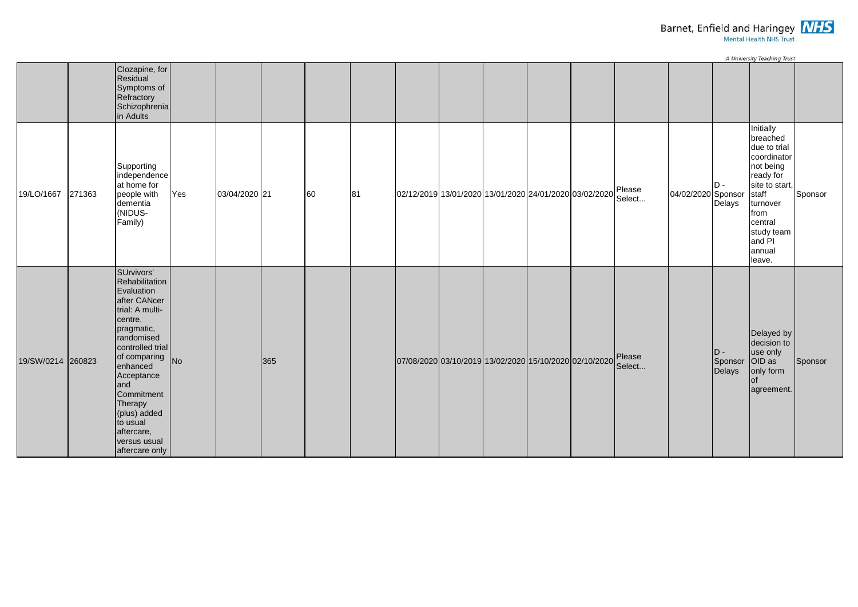

|                   | A University Teaching Trust |                                                                                                                                                                                                                                                                                                      |     |               |     |    |    |                                                                 |  |  |  |  |  |                    |                                  |                                                                                                                                                                                      |         |
|-------------------|-----------------------------|------------------------------------------------------------------------------------------------------------------------------------------------------------------------------------------------------------------------------------------------------------------------------------------------------|-----|---------------|-----|----|----|-----------------------------------------------------------------|--|--|--|--|--|--------------------|----------------------------------|--------------------------------------------------------------------------------------------------------------------------------------------------------------------------------------|---------|
|                   |                             | Clozapine, for<br>Residual<br>Symptoms of<br>Refractory<br>Schizophrenia<br>in Adults                                                                                                                                                                                                                |     |               |     |    |    |                                                                 |  |  |  |  |  |                    |                                  |                                                                                                                                                                                      |         |
| 19/LO/1667        | 271363                      | Supporting<br>independence<br>at home for<br>people with<br>dementia<br>(NIDUS-<br>Family)                                                                                                                                                                                                           | Yes | 03/04/2020 21 |     | 60 | 81 | 02/12/2019 13/01/2020 13/01/2020 24/01/2020 03/02/2020 Please   |  |  |  |  |  | 04/02/2020 Sponsor | $D -$<br>Delays                  | Initially<br>breached<br>due to trial<br>coordinator<br>not being<br>ready for<br>site to start,<br>staff<br>turnover<br>from<br>central<br>study team<br>and PI<br>annual<br>leave. | Sponsor |
| 19/SW/0214 260823 |                             | SUrvivors'<br>Rehabilitation<br>Evaluation<br>after CANcer<br>trial: A multi-<br>centre,<br>pragmatic,<br>randomised<br>controlled trial<br>of comparing<br>enhanced<br>No<br>Acceptance<br>and<br>Commitment<br>Therapy<br>(plus) added<br>to usual<br>aftercare,<br>versus usual<br>aftercare only |     |               | 365 |    |    | 07/08/2020 03/10/2019 13/02/2020 15/10/2020 02/10/2020   Please |  |  |  |  |  |                    | ID -<br>Sponsor OID as<br>Delays | Delayed by<br>decision to<br>use only<br>only form<br>lof<br>agreement.                                                                                                              | Sponsor |